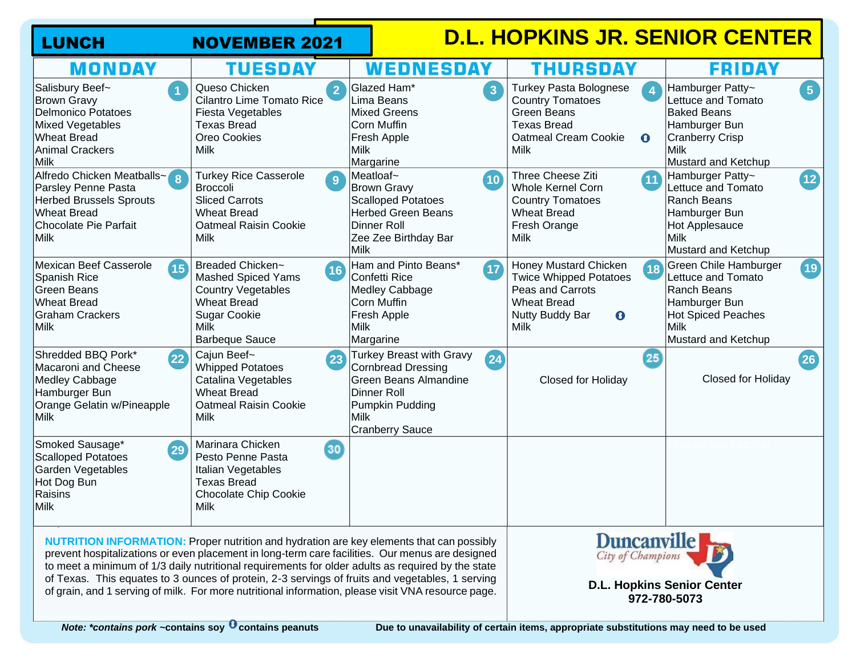| <b>LUNCH</b>                                                                                                                                        | <b>NOVEMBER 2021</b>                                                                                                                                                                                                                                                                                                                                                                                                                                                                                             |                                                                                                                                                                 | <b>D.L. HOPKINS JR. SENIOR CENTER</b>                                                                                                                                        |                                                                                                                                                              |
|-----------------------------------------------------------------------------------------------------------------------------------------------------|------------------------------------------------------------------------------------------------------------------------------------------------------------------------------------------------------------------------------------------------------------------------------------------------------------------------------------------------------------------------------------------------------------------------------------------------------------------------------------------------------------------|-----------------------------------------------------------------------------------------------------------------------------------------------------------------|------------------------------------------------------------------------------------------------------------------------------------------------------------------------------|--------------------------------------------------------------------------------------------------------------------------------------------------------------|
| <b>MONDAY</b>                                                                                                                                       | TUESDAY                                                                                                                                                                                                                                                                                                                                                                                                                                                                                                          | WEDNESDAY                                                                                                                                                       | THURSDAY                                                                                                                                                                     | FRIDAY                                                                                                                                                       |
| Salisbury Beef~<br>$\overline{1}$<br><b>Brown Gravy</b><br>Delmonico Potatoes<br>Mixed Vegetables<br><b>Wheat Bread</b><br>Animal Crackers<br> Milk | Queso Chicken<br><b>Cilantro Lime Tomato Rice</b><br>Fiesta Vegetables<br><b>Texas Bread</b><br>Oreo Cookies<br><b>Milk</b>                                                                                                                                                                                                                                                                                                                                                                                      | Glazed Ham*<br>$\overline{3}$<br>Lima Beans<br><b>Mixed Greens</b><br>Corn Muffin<br>Fresh Apple<br>Milk<br>Margarine                                           | <b>Turkey Pasta Bolognese</b><br>$\overline{4}$<br><b>Country Tomatoes</b><br><b>Green Beans</b><br><b>Texas Bread</b><br>Oatmeal Cream Cookie<br>$\mathbf 0$<br><b>Milk</b> | $\boxed{5}$<br>Hamburger Patty~<br>Lettuce and Tomato<br><b>Baked Beans</b><br>Hamburger Bun<br><b>Cranberry Crisp</b><br><b>Milk</b><br>Mustard and Ketchup |
| Alfredo Chicken Meatballs~8<br>Parsley Penne Pasta<br><b>Herbed Brussels Sprouts</b><br>Wheat Bread<br>Chocolate Pie Parfait<br>Milk                | <b>Turkey Rice Casserole</b><br>9<br><b>Broccoli</b><br><b>Sliced Carrots</b><br><b>Wheat Bread</b><br><b>Oatmeal Raisin Cookie</b><br><b>Milk</b>                                                                                                                                                                                                                                                                                                                                                               | Meatloaf~<br>(10)<br><b>Brown Gravy</b><br><b>Scalloped Potatoes</b><br><b>Herbed Green Beans</b><br><b>Dinner Roll</b><br>Zee Zee Birthday Bar<br>Milk         | Three Cheese Ziti<br>(11)<br><b>Whole Kernel Corn</b><br><b>Country Tomatoes</b><br><b>Wheat Bread</b><br>Fresh Orange<br>Milk                                               | Hamburger Patty~<br>$\overline{12}$<br>Lettuce and Tomato<br>Ranch Beans<br>Hamburger Bun<br>Hot Applesauce<br><b>Milk</b><br>Mustard and Ketchup            |
| Mexican Beef Casserole<br><b>15</b><br>Spanish Rice<br>Green Beans<br>Wheat Bread<br>Graham Crackers<br>Milk                                        | Breaded Chicken~<br>16<br><b>Mashed Spiced Yams</b><br><b>Country Vegetables</b><br><b>Wheat Bread</b><br><b>Sugar Cookie</b><br>Milk<br><b>Barbeque Sauce</b>                                                                                                                                                                                                                                                                                                                                                   | Ham and Pinto Beans*<br>$\sqrt{17}$<br>Confetti Rice<br>Medley Cabbage<br>Corn Muffin<br>Fresh Apple<br>Milk<br>Margarine                                       | <b>Honey Mustard Chicken</b><br>18<br><b>Twice Whipped Potatoes</b><br>Peas and Carrots<br><b>Wheat Bread</b><br>Nutty Buddy Bar<br>$\mathbf{\Theta}$<br>Milk                | Green Chile Hamburger<br>19<br>Lettuce and Tomato<br>Ranch Beans<br>Hamburger Bun<br><b>Hot Spiced Peaches</b><br><b>Milk</b><br>Mustard and Ketchup         |
| Shredded BBQ Pork*<br>(22)<br>Macaroni and Cheese<br>Medley Cabbage<br>Hamburger Bun<br>Orange Gelatin w/Pineapple<br>Milk                          | Cajun Beef~<br>23<br><b>Whipped Potatoes</b><br>Catalina Vegetables<br><b>Wheat Bread</b><br><b>Oatmeal Raisin Cookie</b><br>Milk                                                                                                                                                                                                                                                                                                                                                                                | Turkey Breast with Gravy<br>24<br><b>Cornbread Dressing</b><br><b>Green Beans Almandine</b><br>Dinner Roll<br>Pumpkin Pudding<br>Milk<br><b>Cranberry Sauce</b> | 25<br>Closed for Holiday                                                                                                                                                     | (26)<br>Closed for Holiday                                                                                                                                   |
| Smoked Sausage*<br>29<br>Scalloped Potatoes<br>Garden Vegetables<br>Hot Dog Bun<br>Raisins<br>Milk                                                  | Marinara Chicken<br>30 <sup>2</sup><br>Pesto Penne Pasta<br>Italian Vegetables<br><b>Texas Bread</b><br><b>Chocolate Chip Cookie</b><br><b>Milk</b>                                                                                                                                                                                                                                                                                                                                                              |                                                                                                                                                                 |                                                                                                                                                                              |                                                                                                                                                              |
|                                                                                                                                                     | <b>NUTRITION INFORMATION:</b> Proper nutrition and hydration are key elements that can possibly<br>prevent hospitalizations or even placement in long-term care facilities. Our menus are designed<br>to meet a minimum of 1/3 daily nutritional requirements for older adults as required by the state<br>of Texas. This equates to 3 ounces of protein, 2-3 servings of fruits and vegetables, 1 serving<br>of grain, and 1 serving of milk. For more nutritional information, please visit VNA resource page. | Duncanville<br><b>D.L. Hopkins Senior Center</b><br>972-780-5073                                                                                                |                                                                                                                                                                              |                                                                                                                                                              |